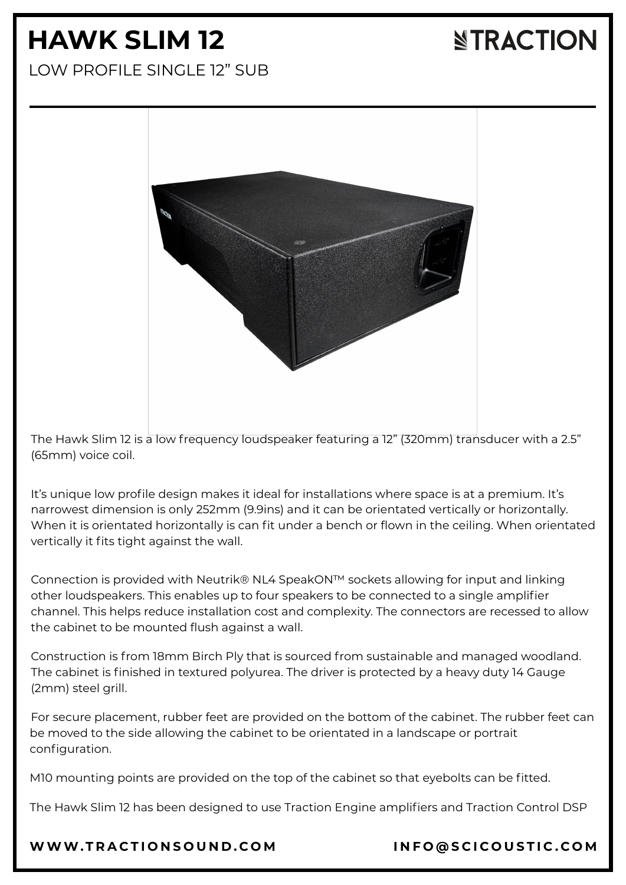# **HAWK SLIM 12**

## **NTRACTION**

LOW PROFILE SINGLE 12" SUB



The Hawk Slim 12 is a low frequency loudspeaker featuring a 12" (320mm) transducer with a 2.5" (65mm) voice coil.

It's unique low profile design makes it ideal for installations where space is at a premium. It's narrowest dimension is only 252mm (9.9ins) and it can be orientated vertically or horizontally. When it is orientated horizontally is can fit under a bench or flown in the ceiling. When orientated vertically it fits tight against the wall.

Connection is provided with Neutrik® NL4 SpeakON™ sockets allowing for input and linking other loudspeakers. This enables up to four speakers to be connected to a single amplifier channel. This helps reduce installation cost and complexity. The connectors are recessed to allow the cabinet to be mounted flush against a wall.

Construction is from 18mm Birch Ply that is sourced from sustainable and managed woodland. The cabinet is finished in textured polyurea. The driver is protected by a heavy duty 14 Gauge (2mm) steel grill.

For secure placement, rubber feet are provided on the bottom of the cabinet. The rubber feet can be moved to the side allowing the cabinet to be orientated in a landscape or portrait configuration.

M10 mounting points are provided on the top of the cabinet so that eyebolts can be fitted.

The Hawk Slim 12 has been designed to use Traction Engine amplifiers and Traction Control DSP

[WWW.T](https://www.tractionsound.com/)RACTIONSOUND.COM INFO[@](mailto:info@scicoustic.com)SCICOUSTIC.COM